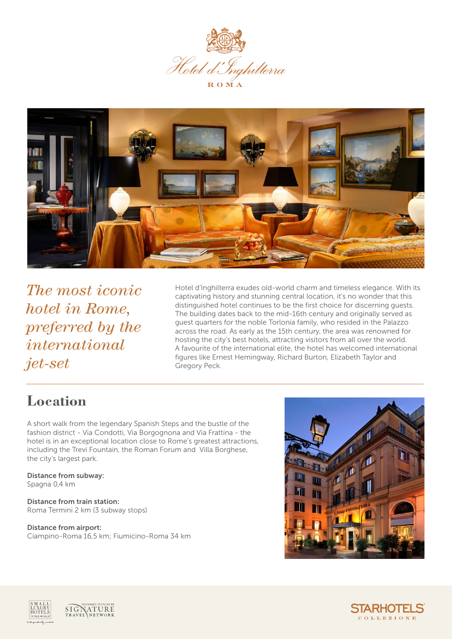

R O M A



*The most iconic hotel in Rome, preferred by the international jet-set*

Hotel d'Inghilterra exudes old-world charm and timeless elegance. With its captivating history and stunning central location, it's no wonder that this distinguished hotel continues to be the first choice for discerning guests. The building dates back to the mid-16th century and originally served as guest quarters for the noble Torlonia family, who resided in the Palazzo across the road. As early as the 15th century, the area was renowned for hosting the city's best hotels, attracting visitors from all over the world. A favourite of the international elite, the hotel has welcomed international figures like Ernest Hemingway, Richard Burton, Elizabeth Taylor and Gregory Peck.

#### **Location**

A short walk from the legendary Spanish Steps and the bustle of the fashion district - Via Condotti, Via Borgognona and Via Frattina - the hotel is in an exceptional location close to Rome's greatest attractions, including the Trevi Fountain, the Roman Forum and Villa Borghese, the city's largest park.

Distance from subway: Spagna 0,4 km

Distance from train station: Roma Termini 2 km (3 subway stops)

Distance from airport: Ciampino-Roma 16,5 km; Fiumicino-Roma 34 km